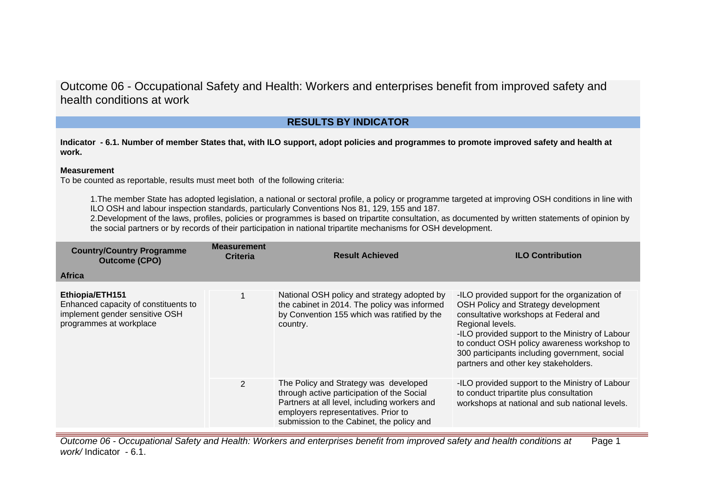# **RESULTS BY INDICATOR**

**Indicator - 6.1. Number of member States that, with ILO support, adopt policies and programmes to promote improved safety and health at work.**

#### **Measurement**

To be counted as reportable, results must meet both of the following criteria:

1.The member State has adopted legislation, a national or sectoral profile, a policy or programme targeted at improving OSH conditions in line with ILO OSH and labour inspection standards, particularly Conventions Nos 81, 129, 155 and 187.

2.Development of the laws, profiles, policies or programmes is based on tripartite consultation, as documented by written statements of opinion by the social partners or by records of their participation in national tripartite mechanisms for OSH development.

| <b>Country/Country Programme</b><br><b>Outcome (CPO)</b>                                                             | <b>Measurement</b><br><b>Criteria</b> | <b>Result Achieved</b>                                                                                                                                                                                                  | <b>ILO Contribution</b>                                                                                                                                                                                                                                                                                                                      |
|----------------------------------------------------------------------------------------------------------------------|---------------------------------------|-------------------------------------------------------------------------------------------------------------------------------------------------------------------------------------------------------------------------|----------------------------------------------------------------------------------------------------------------------------------------------------------------------------------------------------------------------------------------------------------------------------------------------------------------------------------------------|
| <b>Africa</b>                                                                                                        |                                       |                                                                                                                                                                                                                         |                                                                                                                                                                                                                                                                                                                                              |
| Ethiopia/ETH151<br>Enhanced capacity of constituents to<br>implement gender sensitive OSH<br>programmes at workplace |                                       | National OSH policy and strategy adopted by<br>the cabinet in 2014. The policy was informed<br>by Convention 155 which was ratified by the<br>country.                                                                  | -ILO provided support for the organization of<br>OSH Policy and Strategy development<br>consultative workshops at Federal and<br>Regional levels.<br>-ILO provided support to the Ministry of Labour<br>to conduct OSH policy awareness workshop to<br>300 participants including government, social<br>partners and other key stakeholders. |
|                                                                                                                      | 2                                     | The Policy and Strategy was developed<br>through active participation of the Social<br>Partners at all level, including workers and<br>employers representatives. Prior to<br>submission to the Cabinet, the policy and | -ILO provided support to the Ministry of Labour<br>to conduct tripartite plus consultation<br>workshops at national and sub national levels.                                                                                                                                                                                                 |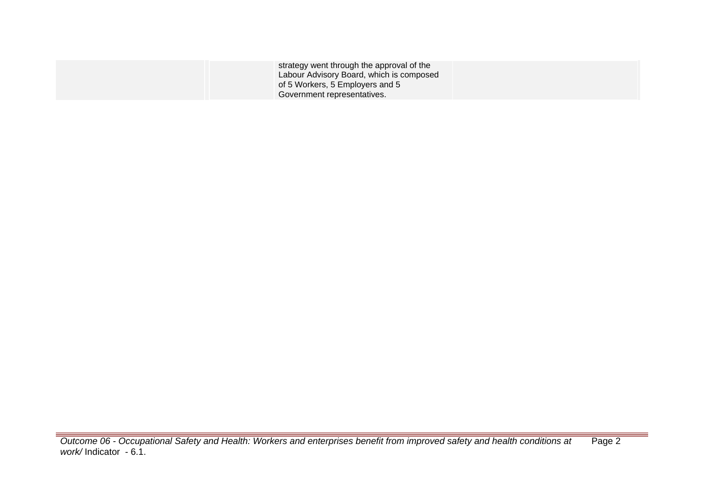| strategy went through the approval of the<br>Labour Advisory Board, which is composed |  |
|---------------------------------------------------------------------------------------|--|
| of 5 Workers, 5 Employers and 5                                                       |  |
| Government representatives.                                                           |  |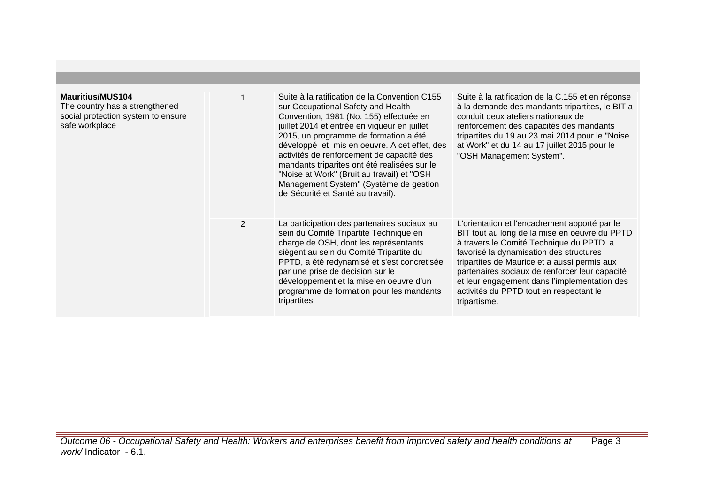| <b>Mauritius/MUS104</b><br>The country has a strengthened<br>social protection system to ensure<br>safe workplace |                | Suite à la ratification de la Convention C155<br>sur Occupational Safety and Health<br>Convention, 1981 (No. 155) effectuée en<br>juillet 2014 et entrée en vigueur en juillet<br>2015, un programme de formation a été<br>développé et mis en oeuvre. A cet effet, des<br>activités de renforcement de capacité des<br>mandants triparites ont été realisées sur le<br>"Noise at Work" (Bruit au travail) et "OSH<br>Management System" (Système de gestion<br>de Sécurité et Santé au travail). | Suite à la ratification de la C.155 et en réponse<br>à la demande des mandants tripartites, le BIT a<br>conduit deux ateliers nationaux de<br>renforcement des capacités des mandants<br>tripartites du 19 au 23 mai 2014 pour le "Noise<br>at Work" et du 14 au 17 juillet 2015 pour le<br>"OSH Management System".                                                                              |
|-------------------------------------------------------------------------------------------------------------------|----------------|---------------------------------------------------------------------------------------------------------------------------------------------------------------------------------------------------------------------------------------------------------------------------------------------------------------------------------------------------------------------------------------------------------------------------------------------------------------------------------------------------|---------------------------------------------------------------------------------------------------------------------------------------------------------------------------------------------------------------------------------------------------------------------------------------------------------------------------------------------------------------------------------------------------|
|                                                                                                                   | $\overline{2}$ | La participation des partenaires sociaux au<br>sein du Comité Tripartite Technique en<br>charge de OSH, dont les représentants<br>siègent au sein du Comité Tripartite du<br>PPTD, a été redynamisé et s'est concretisée<br>par une prise de decision sur le<br>développement et la mise en oeuvre d'un<br>programme de formation pour les mandants<br>tripartites.                                                                                                                               | L'orientation et l'encadrement apporté par le<br>BIT tout au long de la mise en oeuvre du PPTD<br>à travers le Comité Technique du PPTD a<br>favorisé la dynamisation des structures<br>tripartites de Maurice et a aussi permis aux<br>partenaires sociaux de renforcer leur capacité<br>et leur engagement dans l'implementation des<br>activités du PPTD tout en respectant le<br>tripartisme. |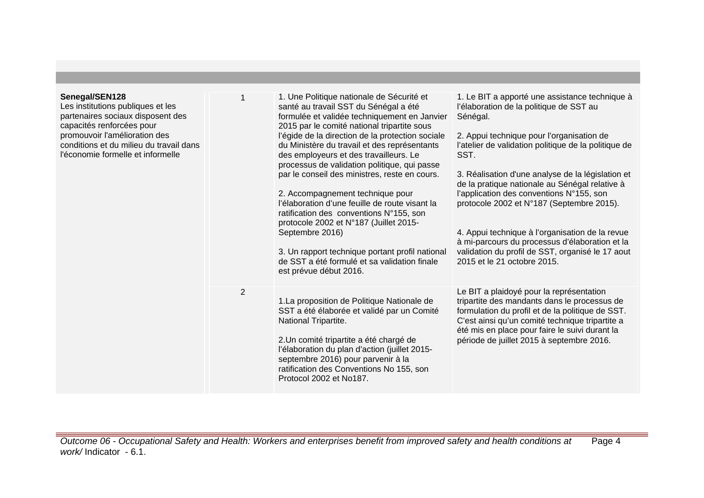| Senegal/SEN128<br>Les institutions publiques et les<br>partenaires sociaux disposent des<br>capacités renforcées pour<br>promouvoir l'amélioration des<br>conditions et du milieu du travail dans<br>l'économie formelle et informelle |   | 1. Une Politique nationale de Sécurité et<br>santé au travail SST du Sénégal a été<br>formulée et validée techniquement en Janvier<br>2015 par le comité national tripartite sous<br>l'égide de la direction de la protection sociale<br>du Ministère du travail et des représentants<br>des employeurs et des travailleurs. Le<br>processus de validation politique, qui passe<br>par le conseil des ministres, reste en cours.<br>2. Accompagnement technique pour<br>l'élaboration d'une feuille de route visant la<br>ratification des conventions N°155, son<br>protocole 2002 et N°187 (Juillet 2015-<br>Septembre 2016)<br>3. Un rapport technique portant profil national<br>de SST a été formulé et sa validation finale<br>est prévue début 2016. | 1. Le BIT a apporté une assistance technique à<br>l'élaboration de la politique de SST au<br>Sénégal.<br>2. Appui technique pour l'organisation de<br>l'atelier de validation politique de la politique de<br>SST.<br>3. Réalisation d'une analyse de la législation et<br>de la pratique nationale au Sénégal relative à<br>l'application des conventions N°155, son<br>protocole 2002 et N°187 (Septembre 2015).<br>4. Appui technique à l'organisation de la revue<br>à mi-parcours du processus d'élaboration et la<br>validation du profil de SST, organisé le 17 aout<br>2015 et le 21 octobre 2015. |
|----------------------------------------------------------------------------------------------------------------------------------------------------------------------------------------------------------------------------------------|---|-------------------------------------------------------------------------------------------------------------------------------------------------------------------------------------------------------------------------------------------------------------------------------------------------------------------------------------------------------------------------------------------------------------------------------------------------------------------------------------------------------------------------------------------------------------------------------------------------------------------------------------------------------------------------------------------------------------------------------------------------------------|------------------------------------------------------------------------------------------------------------------------------------------------------------------------------------------------------------------------------------------------------------------------------------------------------------------------------------------------------------------------------------------------------------------------------------------------------------------------------------------------------------------------------------------------------------------------------------------------------------|
|                                                                                                                                                                                                                                        | 2 | 1. La proposition de Politique Nationale de<br>SST a été élaborée et validé par un Comité<br>National Tripartite.<br>2. Un comité tripartite a été chargé de<br>l'élaboration du plan d'action (juillet 2015-<br>septembre 2016) pour parvenir à la<br>ratification des Conventions No 155, son<br>Protocol 2002 et No187.                                                                                                                                                                                                                                                                                                                                                                                                                                  | Le BIT a plaidoyé pour la représentation<br>tripartite des mandants dans le processus de<br>formulation du profil et de la politique de SST.<br>C'est ainsi qu'un comité technique tripartite a<br>été mis en place pour faire le suivi durant la<br>période de juillet 2015 à septembre 2016.                                                                                                                                                                                                                                                                                                             |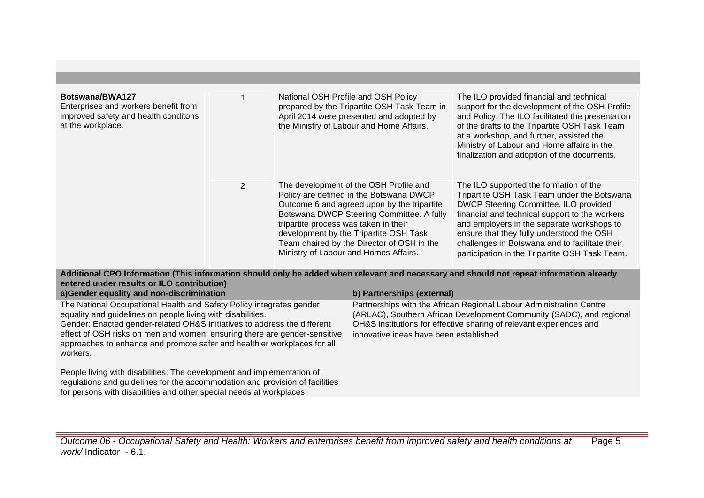| Botswana/BWA127<br>Enterprises and workers benefit from<br>improved safety and health conditons<br>at the workplace. |                | National OSH Profile and OSH Policy<br>prepared by the Tripartite OSH Task Team in<br>April 2014 were presented and adopted by<br>the Ministry of Labour and Home Affairs.                                                                                                                                                                              | The ILO provided financial and technical<br>support for the development of the OSH Profile<br>and Policy. The ILO facilitated the presentation<br>of the drafts to the Tripartite OSH Task Team<br>at a workshop, and further, assisted the<br>Ministry of Labour and Home affairs in the<br>finalization and adoption of the documents.                                        |
|----------------------------------------------------------------------------------------------------------------------|----------------|---------------------------------------------------------------------------------------------------------------------------------------------------------------------------------------------------------------------------------------------------------------------------------------------------------------------------------------------------------|---------------------------------------------------------------------------------------------------------------------------------------------------------------------------------------------------------------------------------------------------------------------------------------------------------------------------------------------------------------------------------|
|                                                                                                                      | $\overline{2}$ | The development of the OSH Profile and<br>Policy are defined in the Botswana DWCP<br>Outcome 6 and agreed upon by the tripartite<br>Botswana DWCP Steering Committee. A fully<br>tripartite process was taken in their<br>development by the Tripartite OSH Task<br>Team chaired by the Director of OSH in the<br>Ministry of Labour and Homes Affairs. | The ILO supported the formation of the<br>Tripartite OSH Task Team under the Botswana<br>DWCP Steering Committee. ILO provided<br>financial and technical support to the workers<br>and employers in the separate workshops to<br>ensure that they fully understood the OSH<br>challenges in Botswana and to facilitate their<br>participation in the Tripartite OSH Task Team. |

**Additional CPO Information (This information should only be added when relevant and necessary and should not repeat information already entered under results or ILO contribution)**

| a) Gender equality and non-discrimination                                                                                                                                                                                                                                                                                                                                            | b) Partnerships (external)                                                                                                                                                                                                                                   |
|--------------------------------------------------------------------------------------------------------------------------------------------------------------------------------------------------------------------------------------------------------------------------------------------------------------------------------------------------------------------------------------|--------------------------------------------------------------------------------------------------------------------------------------------------------------------------------------------------------------------------------------------------------------|
| The National Occupational Health and Safety Policy integrates gender<br>equality and guidelines on people living with disabilities.<br>Gender: Enacted gender-related OH&S initiatives to address the different<br>effect of OSH risks on men and women; ensuring there are gender-sensitive<br>approaches to enhance and promote safer and healthier workplaces for all<br>workers. | Partnerships with the African Regional Labour Administration Centre<br>(ARLAC), Southern African Development Community (SADC), and regional<br>OH&S institutions for effective sharing of relevant experiences and<br>innovative ideas have been established |
| People living with disabilities: The development and implementation of<br>المتحاللة وأناقي والمتلوك ومرمز الرمزمي مجالفها والمستحدد والمحارب فالمتحا والمتحالي المتحر والمتحارب ومحارب                                                                                                                                                                                               |                                                                                                                                                                                                                                                              |

regulations and guidelines for the accommodation and provision of facilities for persons with disabilities and other special needs at workplaces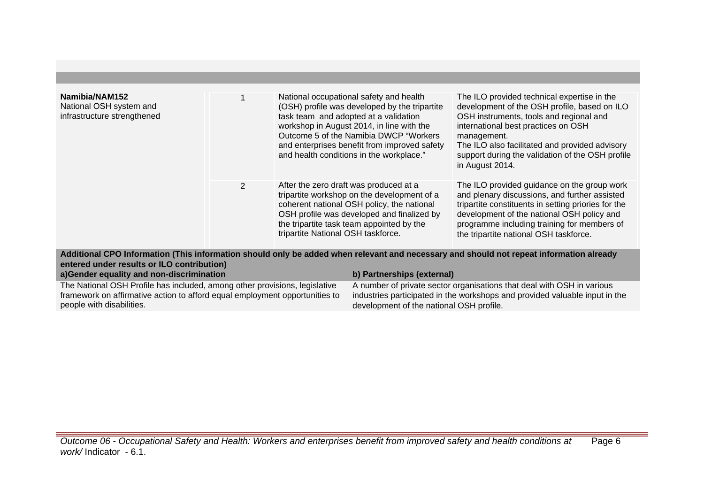| Namibia/NAM152<br>National OSH system and<br>infrastructure strengthened |                | National occupational safety and health<br>(OSH) profile was developed by the tripartite<br>task team and adopted at a validation<br>workshop in August 2014, in line with the<br>Outcome 5 of the Namibia DWCP "Workers"<br>and enterprises benefit from improved safety<br>and health conditions in the workplace." | The ILO provided technical expertise in the<br>development of the OSH profile, based on ILO<br>OSH instruments, tools and regional and<br>international best practices on OSH<br>management.<br>The ILO also facilitated and provided advisory<br>support during the validation of the OSH profile<br>in August 2014. |
|--------------------------------------------------------------------------|----------------|-----------------------------------------------------------------------------------------------------------------------------------------------------------------------------------------------------------------------------------------------------------------------------------------------------------------------|-----------------------------------------------------------------------------------------------------------------------------------------------------------------------------------------------------------------------------------------------------------------------------------------------------------------------|
|                                                                          | $\overline{2}$ | After the zero draft was produced at a<br>tripartite workshop on the development of a<br>coherent national OSH policy, the national<br>OSH profile was developed and finalized by<br>the tripartite task team appointed by the<br>tripartite National OSH taskforce.                                                  | The ILO provided guidance on the group work<br>and plenary discussions, and further assisted<br>tripartite constituents in setting priories for the<br>development of the national OSH policy and<br>programme including training for members of<br>the tripartite national OSH taskforce.                            |

**Additional CPO Information (This information should only be added when relevant and necessary and should not repeat information already entered under results or ILO contribution)**

| a)Gender equality and non-discrimination                                    | b) Partnerships (external)                                                  |
|-----------------------------------------------------------------------------|-----------------------------------------------------------------------------|
| The National OSH Profile has included, among other provisions, legislative  | A number of private sector organisations that deal with OSH in various      |
| framework on affirmative action to afford equal employment opportunities to | industries participated in the workshops and provided valuable input in the |
| people with disabilities.                                                   | development of the national OSH profile.                                    |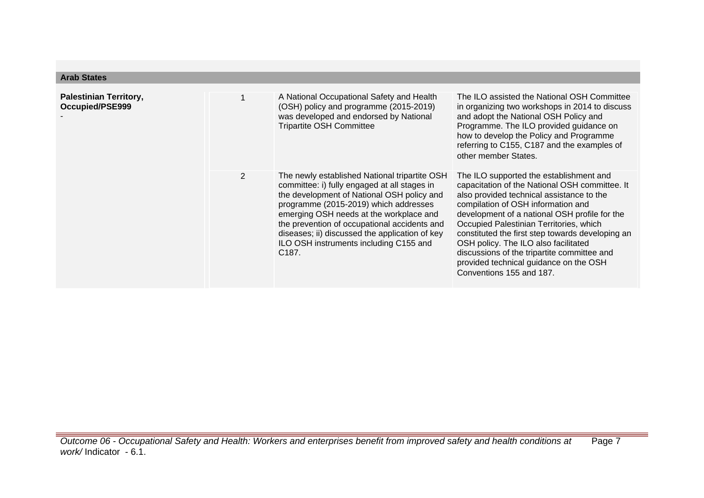| <b>Arab States</b>                               |                |                                                                                                                                                                                                                                                                                                                                                                                                   |                                                                                                                                                                                                                                                                                                                                                                                                                                                                                           |
|--------------------------------------------------|----------------|---------------------------------------------------------------------------------------------------------------------------------------------------------------------------------------------------------------------------------------------------------------------------------------------------------------------------------------------------------------------------------------------------|-------------------------------------------------------------------------------------------------------------------------------------------------------------------------------------------------------------------------------------------------------------------------------------------------------------------------------------------------------------------------------------------------------------------------------------------------------------------------------------------|
| <b>Palestinian Territory,</b><br>Occupied/PSE999 |                | A National Occupational Safety and Health<br>(OSH) policy and programme (2015-2019)<br>was developed and endorsed by National<br><b>Tripartite OSH Committee</b>                                                                                                                                                                                                                                  | The ILO assisted the National OSH Committee<br>in organizing two workshops in 2014 to discuss<br>and adopt the National OSH Policy and<br>Programme. The ILO provided guidance on<br>how to develop the Policy and Programme<br>referring to C155, C187 and the examples of<br>other member States.                                                                                                                                                                                       |
|                                                  | $\overline{2}$ | The newly established National tripartite OSH<br>committee: i) fully engaged at all stages in<br>the development of National OSH policy and<br>programme (2015-2019) which addresses<br>emerging OSH needs at the workplace and<br>the prevention of occupational accidents and<br>diseases; ii) discussed the application of key<br>ILO OSH instruments including C155 and<br>C <sub>187</sub> . | The ILO supported the establishment and<br>capacitation of the National OSH committee. It<br>also provided technical assistance to the<br>compilation of OSH information and<br>development of a national OSH profile for the<br>Occupied Palestinian Territories, which<br>constituted the first step towards developing an<br>OSH policy. The ILO also facilitated<br>discussions of the tripartite committee and<br>provided technical guidance on the OSH<br>Conventions 155 and 187. |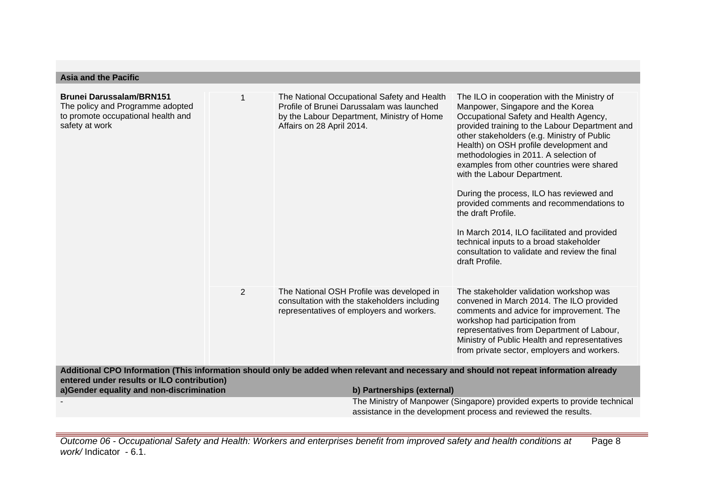| <b>Asia and the Pacific</b>                                                                                                                                                           |                |                                                                                                                                                                     |                                                                                                                                                                                                                                                                                                                                                                                                                                                                                                                                                                                                                                                                       |
|---------------------------------------------------------------------------------------------------------------------------------------------------------------------------------------|----------------|---------------------------------------------------------------------------------------------------------------------------------------------------------------------|-----------------------------------------------------------------------------------------------------------------------------------------------------------------------------------------------------------------------------------------------------------------------------------------------------------------------------------------------------------------------------------------------------------------------------------------------------------------------------------------------------------------------------------------------------------------------------------------------------------------------------------------------------------------------|
| <b>Brunei Darussalam/BRN151</b><br>The policy and Programme adopted<br>to promote occupational health and<br>safety at work                                                           |                | The National Occupational Safety and Health<br>Profile of Brunei Darussalam was launched<br>by the Labour Department, Ministry of Home<br>Affairs on 28 April 2014. | The ILO in cooperation with the Ministry of<br>Manpower, Singapore and the Korea<br>Occupational Safety and Health Agency,<br>provided training to the Labour Department and<br>other stakeholders (e.g. Ministry of Public<br>Health) on OSH profile development and<br>methodologies in 2011. A selection of<br>examples from other countries were shared<br>with the Labour Department.<br>During the process, ILO has reviewed and<br>provided comments and recommendations to<br>the draft Profile.<br>In March 2014, ILO facilitated and provided<br>technical inputs to a broad stakeholder<br>consultation to validate and review the final<br>draft Profile. |
|                                                                                                                                                                                       | $\overline{2}$ | The National OSH Profile was developed in<br>consultation with the stakeholders including<br>representatives of employers and workers.                              | The stakeholder validation workshop was<br>convened in March 2014. The ILO provided<br>comments and advice for improvement. The<br>workshop had participation from<br>representatives from Department of Labour,<br>Ministry of Public Health and representatives<br>from private sector, employers and workers.                                                                                                                                                                                                                                                                                                                                                      |
| Additional CPO Information (This information should only be added when relevant and necessary and should not repeat information already<br>entered under results or ILO contribution) |                |                                                                                                                                                                     |                                                                                                                                                                                                                                                                                                                                                                                                                                                                                                                                                                                                                                                                       |
| a)Gender equality and non-discrimination                                                                                                                                              |                | b) Partnerships (external)                                                                                                                                          |                                                                                                                                                                                                                                                                                                                                                                                                                                                                                                                                                                                                                                                                       |
|                                                                                                                                                                                       |                |                                                                                                                                                                     | The Ministry of Manpower (Singapore) provided experts to provide technical<br>assistance in the development process and reviewed the results.                                                                                                                                                                                                                                                                                                                                                                                                                                                                                                                         |
|                                                                                                                                                                                       |                |                                                                                                                                                                     |                                                                                                                                                                                                                                                                                                                                                                                                                                                                                                                                                                                                                                                                       |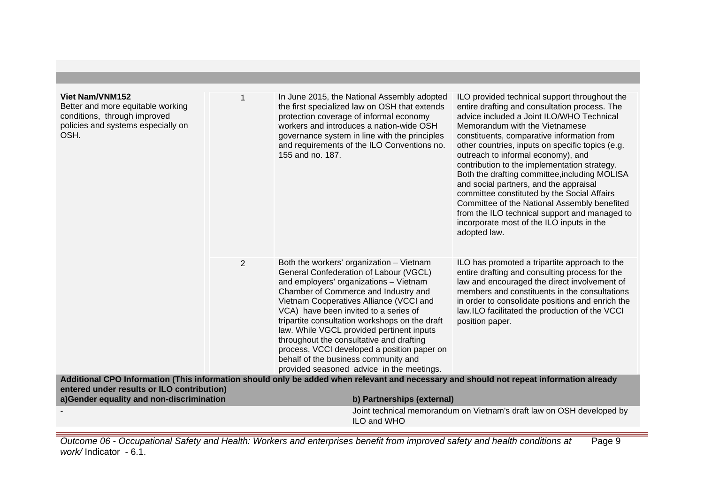| Viet Nam/VNM152<br>Better and more equitable working<br>conditions, through improved<br>policies and systems especially on<br>OSH. |   | In June 2015, the National Assembly adopted<br>the first specialized law on OSH that extends<br>protection coverage of informal economy<br>workers and introduces a nation-wide OSH<br>governance system in line with the principles<br>and requirements of the ILO Conventions no.<br>155 and no. 187.                                                                                                                                                                                                                                 | ILO provided technical support throughout the<br>entire drafting and consultation process. The<br>advice included a Joint ILO/WHO Technical<br>Memorandum with the Vietnamese<br>constituents, comparative information from<br>other countries, inputs on specific topics (e.g.<br>outreach to informal economy), and<br>contribution to the implementation strategy.<br>Both the drafting committee, including MOLISA<br>and social partners, and the appraisal<br>committee constituted by the Social Affairs<br>Committee of the National Assembly benefited<br>from the ILO technical support and managed to<br>incorporate most of the ILO inputs in the<br>adopted law. |
|------------------------------------------------------------------------------------------------------------------------------------|---|-----------------------------------------------------------------------------------------------------------------------------------------------------------------------------------------------------------------------------------------------------------------------------------------------------------------------------------------------------------------------------------------------------------------------------------------------------------------------------------------------------------------------------------------|-------------------------------------------------------------------------------------------------------------------------------------------------------------------------------------------------------------------------------------------------------------------------------------------------------------------------------------------------------------------------------------------------------------------------------------------------------------------------------------------------------------------------------------------------------------------------------------------------------------------------------------------------------------------------------|
|                                                                                                                                    | 2 | Both the workers' organization - Vietnam<br>General Confederation of Labour (VGCL)<br>and employers' organizations - Vietnam<br>Chamber of Commerce and Industry and<br>Vietnam Cooperatives Alliance (VCCI and<br>VCA) have been invited to a series of<br>tripartite consultation workshops on the draft<br>law. While VGCL provided pertinent inputs<br>throughout the consultative and drafting<br>process, VCCI developed a position paper on<br>behalf of the business community and<br>provided seasoned advice in the meetings. | ILO has promoted a tripartite approach to the<br>entire drafting and consulting process for the<br>law and encouraged the direct involvement of<br>members and constituents in the consultations<br>in order to consolidate positions and enrich the<br>law.ILO facilitated the production of the VCCI<br>position paper.                                                                                                                                                                                                                                                                                                                                                     |
| entered under results or ILO contribution)                                                                                         |   | Additional CPO Information (This information should only be added when relevant and necessary and should not repeat information already                                                                                                                                                                                                                                                                                                                                                                                                 |                                                                                                                                                                                                                                                                                                                                                                                                                                                                                                                                                                                                                                                                               |
| a)Gender equality and non-discrimination                                                                                           |   | b) Partnerships (external)                                                                                                                                                                                                                                                                                                                                                                                                                                                                                                              |                                                                                                                                                                                                                                                                                                                                                                                                                                                                                                                                                                                                                                                                               |
|                                                                                                                                    |   | ILO and WHO                                                                                                                                                                                                                                                                                                                                                                                                                                                                                                                             | Joint technical memorandum on Vietnam's draft law on OSH developed by                                                                                                                                                                                                                                                                                                                                                                                                                                                                                                                                                                                                         |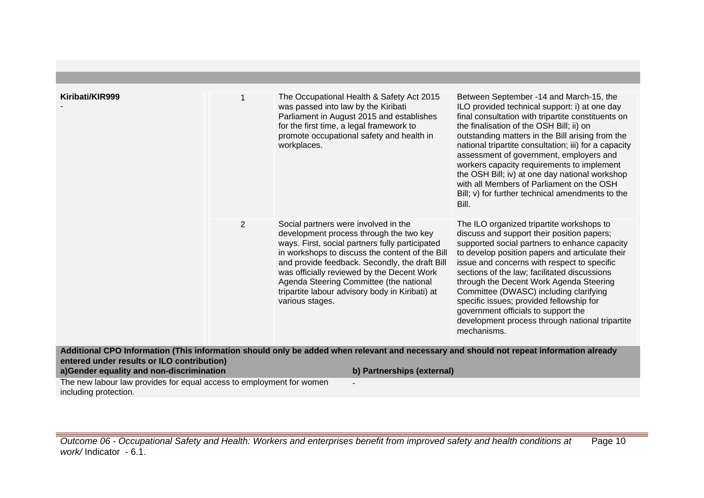| Kiribati/KIR999                                                                        |                | The Occupational Health & Safety Act 2015<br>was passed into law by the Kiribati<br>Parliament in August 2015 and establishes<br>for the first time, a legal framework to<br>promote occupational safety and health in<br>workplaces.                                                                                                                                                                  | Between September -14 and March-15, the<br>ILO provided technical support: i) at one day<br>final consultation with tripartite constituents on<br>the finalisation of the OSH Bill; ii) on<br>outstanding matters in the Bill arising from the<br>national tripartite consultation; iii) for a capacity<br>assessment of government, employers and<br>workers capacity requirements to implement<br>the OSH Bill; iv) at one day national workshop<br>with all Members of Parliament on the OSH<br>Bill; v) for further technical amendments to the<br>Bill. |
|----------------------------------------------------------------------------------------|----------------|--------------------------------------------------------------------------------------------------------------------------------------------------------------------------------------------------------------------------------------------------------------------------------------------------------------------------------------------------------------------------------------------------------|--------------------------------------------------------------------------------------------------------------------------------------------------------------------------------------------------------------------------------------------------------------------------------------------------------------------------------------------------------------------------------------------------------------------------------------------------------------------------------------------------------------------------------------------------------------|
|                                                                                        | $\overline{2}$ | Social partners were involved in the<br>development process through the two key<br>ways. First, social partners fully participated<br>in workshops to discuss the content of the Bill<br>and provide feedback. Secondly, the draft Bill<br>was officially reviewed by the Decent Work<br>Agenda Steering Committee (the national<br>tripartite labour advisory body in Kiribati) at<br>various stages. | The ILO organized tripartite workshops to<br>discuss and support their position papers;<br>supported social partners to enhance capacity<br>to develop position papers and articulate their<br>issue and concerns with respect to specific<br>sections of the law; facilitated discussions<br>through the Decent Work Agenda Steering<br>Committee (DWASC) including clarifying<br>specific issues; provided fellowship for<br>government officials to support the<br>development process through national tripartite<br>mechanisms.                         |
| entered under results or ILO contribution)<br>a)Gender equality and non-discrimination |                | Additional CPO Information (This information should only be added when relevant and necessary and should not repeat information already<br>b) Partnerships (external)                                                                                                                                                                                                                                  |                                                                                                                                                                                                                                                                                                                                                                                                                                                                                                                                                              |
| The new labour law provides for equal access to employment for women                   |                |                                                                                                                                                                                                                                                                                                                                                                                                        |                                                                                                                                                                                                                                                                                                                                                                                                                                                                                                                                                              |
| including protection.                                                                  |                |                                                                                                                                                                                                                                                                                                                                                                                                        |                                                                                                                                                                                                                                                                                                                                                                                                                                                                                                                                                              |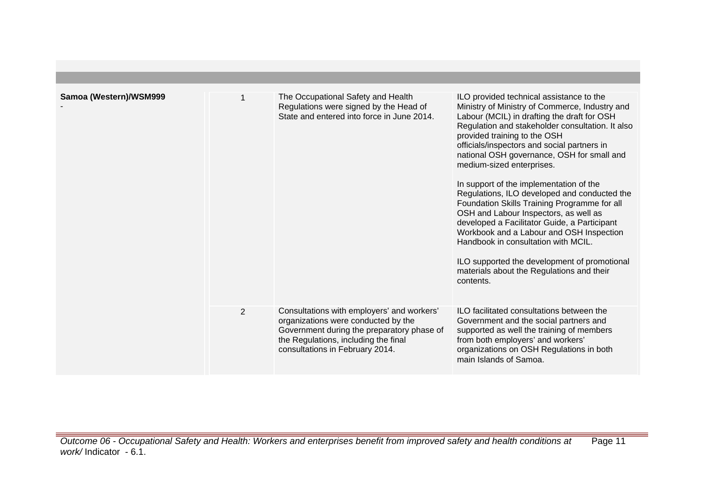| Samoa (Western)/WSM999 |   | The Occupational Safety and Health<br>Regulations were signed by the Head of<br>State and entered into force in June 2014.                                                                                 | ILO provided technical assistance to the<br>Ministry of Ministry of Commerce, Industry and<br>Labour (MCIL) in drafting the draft for OSH<br>Regulation and stakeholder consultation. It also<br>provided training to the OSH<br>officials/inspectors and social partners in<br>national OSH governance, OSH for small and<br>medium-sized enterprises.<br>In support of the implementation of the<br>Regulations, ILO developed and conducted the<br>Foundation Skills Training Programme for all<br>OSH and Labour Inspectors, as well as<br>developed a Facilitator Guide, a Participant<br>Workbook and a Labour and OSH Inspection<br>Handbook in consultation with MCIL.<br>ILO supported the development of promotional<br>materials about the Regulations and their<br>contents. |
|------------------------|---|------------------------------------------------------------------------------------------------------------------------------------------------------------------------------------------------------------|------------------------------------------------------------------------------------------------------------------------------------------------------------------------------------------------------------------------------------------------------------------------------------------------------------------------------------------------------------------------------------------------------------------------------------------------------------------------------------------------------------------------------------------------------------------------------------------------------------------------------------------------------------------------------------------------------------------------------------------------------------------------------------------|
|                        | 2 | Consultations with employers' and workers'<br>organizations were conducted by the<br>Government during the preparatory phase of<br>the Regulations, including the final<br>consultations in February 2014. | ILO facilitated consultations between the<br>Government and the social partners and<br>supported as well the training of members<br>from both employers' and workers'<br>organizations on OSH Regulations in both<br>main Islands of Samoa.                                                                                                                                                                                                                                                                                                                                                                                                                                                                                                                                              |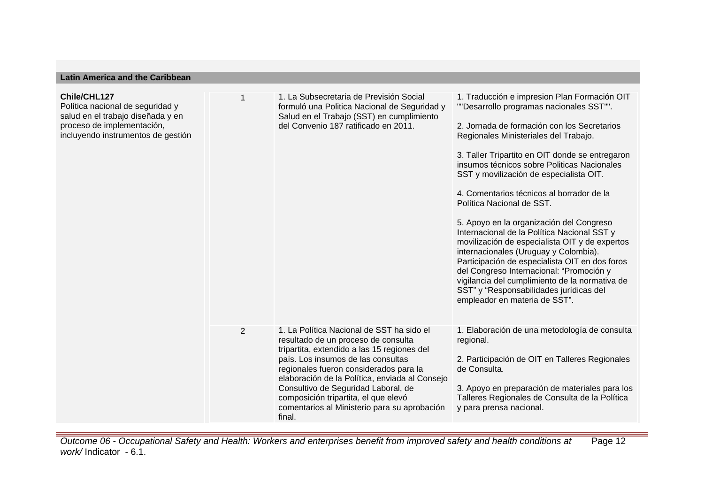| Latin Anienca and the Canbbean                                                                                                                            |                |                                                                                                                                                                                                                                                                                                                                                                                                            |                                                                                                                                                                                                                                                                                                                                                                                                                                                                                                                                                                                                                                                                                                                                                                                                                           |  |
|-----------------------------------------------------------------------------------------------------------------------------------------------------------|----------------|------------------------------------------------------------------------------------------------------------------------------------------------------------------------------------------------------------------------------------------------------------------------------------------------------------------------------------------------------------------------------------------------------------|---------------------------------------------------------------------------------------------------------------------------------------------------------------------------------------------------------------------------------------------------------------------------------------------------------------------------------------------------------------------------------------------------------------------------------------------------------------------------------------------------------------------------------------------------------------------------------------------------------------------------------------------------------------------------------------------------------------------------------------------------------------------------------------------------------------------------|--|
| Chile/CHL127<br>Política nacional de seguridad y<br>salud en el trabajo diseñada y en<br>proceso de implementación,<br>incluyendo instrumentos de gestión |                | 1. La Subsecretaria de Previsión Social<br>formuló una Politica Nacional de Seguridad y<br>Salud en el Trabajo (SST) en cumplimiento<br>del Convenio 187 ratificado en 2011.                                                                                                                                                                                                                               | 1. Traducción e impresion Plan Formación OIT<br>""Desarrollo programas nacionales SST"".<br>2. Jornada de formación con los Secretarios<br>Regionales Ministeriales del Trabajo.<br>3. Taller Tripartito en OIT donde se entregaron<br>insumos técnicos sobre Politicas Nacionales<br>SST y movilización de especialista OIT.<br>4. Comentarios técnicos al borrador de la<br>Política Nacional de SST.<br>5. Apoyo en la organización del Congreso<br>Internacional de la Política Nacional SST y<br>movilización de especialista OIT y de expertos<br>internacionales (Uruguay y Colombia).<br>Participación de especialista OIT en dos foros<br>del Congreso Internacional: "Promoción y<br>vigilancia del cumplimiento de la normativa de<br>SST" y "Responsabilidades jurídicas del<br>empleador en materia de SST". |  |
|                                                                                                                                                           | $\overline{2}$ | 1. La Política Nacional de SST ha sido el<br>resultado de un proceso de consulta<br>tripartita, extendido a las 15 regiones del<br>país. Los insumos de las consultas<br>regionales fueron considerados para la<br>elaboración de la Política, enviada al Consejo<br>Consultivo de Seguridad Laboral, de<br>composición tripartita, el que elevó<br>comentarios al Ministerio para su aprobación<br>final. | 1. Elaboración de una metodología de consulta<br>regional.<br>2. Participación de OIT en Talleres Regionales<br>de Consulta.<br>3. Apoyo en preparación de materiales para los<br>Talleres Regionales de Consulta de la Política<br>y para prensa nacional.                                                                                                                                                                                                                                                                                                                                                                                                                                                                                                                                                               |  |

**Latin America and the Caribbean**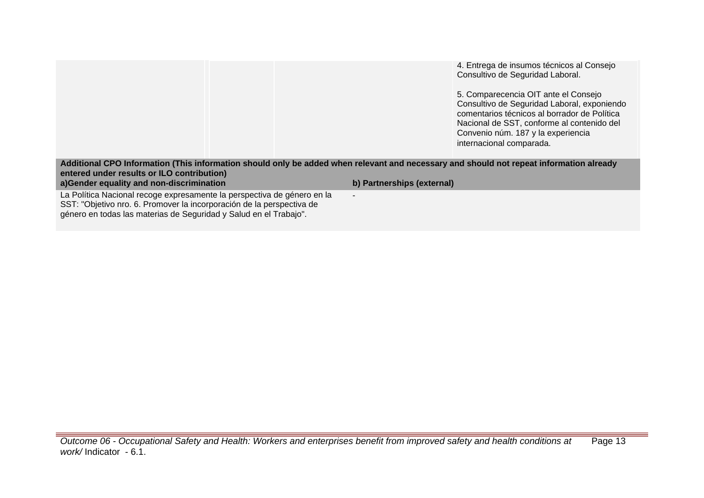4. Entrega de insumos técnicos al Consejo Consultivo de Seguridad Laboral.

5. Comparecencia OIT ante el Consejo Consultivo de Seguridad Laboral, exponiendo comentarios técnicos al borrador de Política Nacional de SST, conforme al contenido del Convenio núm. 187 y la experiencia internacional comparada.

## **Additional CPO Information (This information should only be added when relevant and necessary and should not repeat information already entered under results or ILO contribution) a)Gender equality and non-discrimination b) Partnerships (external)**

-

La Política Nacional recoge expresamente la perspectiva de género en la SST: "Objetivo nro. 6. Promover la incorporación de la perspectiva de género en todas las materias de Seguridad y Salud en el Trabajo".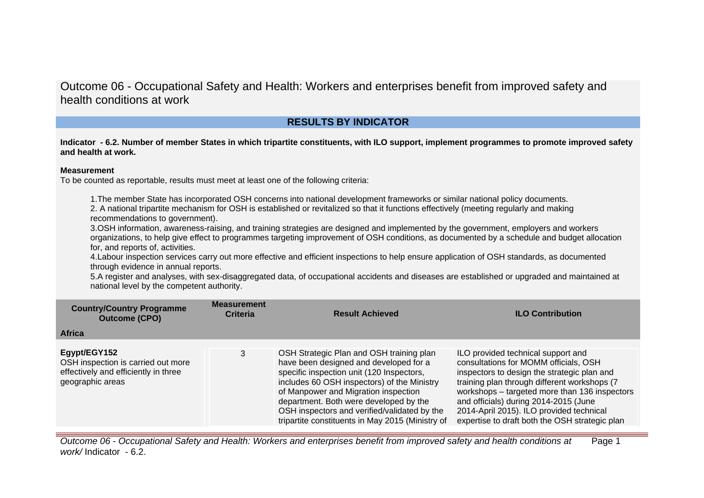# **RESULTS BY INDICATOR**

**Indicator - 6.2. Number of member States in which tripartite constituents, with ILO support, implement programmes to promote improved safety and health at work.**

### **Measurement**

To be counted as reportable, results must meet at least one of the following criteria:

1.The member State has incorporated OSH concerns into national development frameworks or similar national policy documents. 2. A national tripartite mechanism for OSH is established or revitalized so that it functions effectively (meeting regularly and making recommendations to government).

3.OSH information, awareness-raising, and training strategies are designed and implemented by the government, employers and workers organizations, to help give effect to programmes targeting improvement of OSH conditions, as documented by a schedule and budget allocation for, and reports of, activities.

4.Labour inspection services carry out more effective and efficient inspections to help ensure application of OSH standards, as documented through evidence in annual reports.

5.A register and analyses, with sex-disaggregated data, of occupational accidents and diseases are established or upgraded and maintained at national level by the competent authority.

| <b>Country/Country Programme</b><br><b>Outcome (CPO)</b>                                                       | <b>Measurement</b><br><b>Criteria</b> | <b>Result Achieved</b>                                                                                                                                                                                                                                                                                                                                               | <b>ILO Contribution</b>                                                                                                                                                                                                                                                                                                                                            |
|----------------------------------------------------------------------------------------------------------------|---------------------------------------|----------------------------------------------------------------------------------------------------------------------------------------------------------------------------------------------------------------------------------------------------------------------------------------------------------------------------------------------------------------------|--------------------------------------------------------------------------------------------------------------------------------------------------------------------------------------------------------------------------------------------------------------------------------------------------------------------------------------------------------------------|
| <b>Africa</b>                                                                                                  |                                       |                                                                                                                                                                                                                                                                                                                                                                      |                                                                                                                                                                                                                                                                                                                                                                    |
| Egypt/EGY152<br>OSH inspection is carried out more<br>effectively and efficiently in three<br>geographic areas | 3                                     | OSH Strategic Plan and OSH training plan<br>have been designed and developed for a<br>specific inspection unit (120 Inspectors,<br>includes 60 OSH inspectors) of the Ministry<br>of Manpower and Migration inspection<br>department. Both were developed by the<br>OSH inspectors and verified/validated by the<br>tripartite constituents in May 2015 (Ministry of | ILO provided technical support and<br>consultations for MOMM officials, OSH<br>inspectors to design the strategic plan and<br>training plan through different workshops (7<br>workshops - targeted more than 136 inspectors<br>and officials) during 2014-2015 (June<br>2014-April 2015). ILO provided technical<br>expertise to draft both the OSH strategic plan |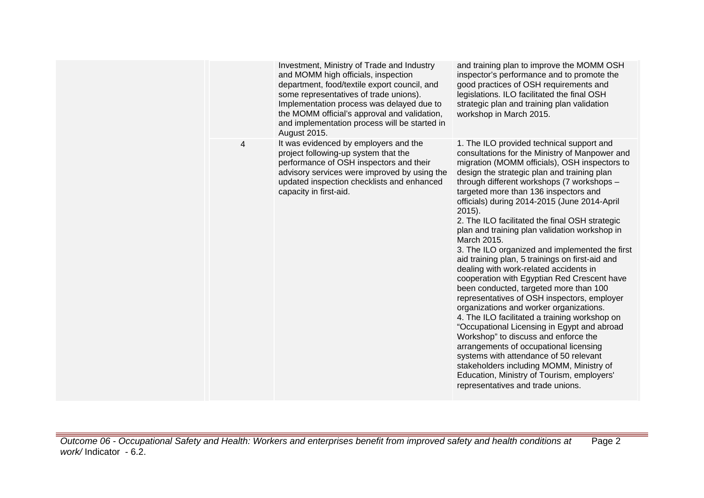|   | Investment, Ministry of Trade and Industry<br>and MOMM high officials, inspection<br>department, food/textile export council, and<br>some representatives of trade unions).<br>Implementation process was delayed due to<br>the MOMM official's approval and validation,<br>and implementation process will be started in<br>August 2015. | and training plan to improve the MOMM OSH<br>inspector's performance and to promote the<br>good practices of OSH requirements and<br>legislations. ILO facilitated the final OSH<br>strategic plan and training plan validation<br>workshop in March 2015.                                                                                                                                                                                                                                                                                                                                                                                                                                                                                                                                                                                                                                                                                                                                                                                                                                                                                                     |
|---|-------------------------------------------------------------------------------------------------------------------------------------------------------------------------------------------------------------------------------------------------------------------------------------------------------------------------------------------|----------------------------------------------------------------------------------------------------------------------------------------------------------------------------------------------------------------------------------------------------------------------------------------------------------------------------------------------------------------------------------------------------------------------------------------------------------------------------------------------------------------------------------------------------------------------------------------------------------------------------------------------------------------------------------------------------------------------------------------------------------------------------------------------------------------------------------------------------------------------------------------------------------------------------------------------------------------------------------------------------------------------------------------------------------------------------------------------------------------------------------------------------------------|
| 4 | It was evidenced by employers and the<br>project following-up system that the<br>performance of OSH inspectors and their<br>advisory services were improved by using the<br>updated inspection checklists and enhanced<br>capacity in first-aid.                                                                                          | 1. The ILO provided technical support and<br>consultations for the Ministry of Manpower and<br>migration (MOMM officials), OSH inspectors to<br>design the strategic plan and training plan<br>through different workshops (7 workshops -<br>targeted more than 136 inspectors and<br>officials) during 2014-2015 (June 2014-April<br>$2015$ ).<br>2. The ILO facilitated the final OSH strategic<br>plan and training plan validation workshop in<br>March 2015.<br>3. The ILO organized and implemented the first<br>aid training plan, 5 trainings on first-aid and<br>dealing with work-related accidents in<br>cooperation with Egyptian Red Crescent have<br>been conducted, targeted more than 100<br>representatives of OSH inspectors, employer<br>organizations and worker organizations.<br>4. The ILO facilitated a training workshop on<br>"Occupational Licensing in Egypt and abroad<br>Workshop" to discuss and enforce the<br>arrangements of occupational licensing<br>systems with attendance of 50 relevant<br>stakeholders including MOMM, Ministry of<br>Education, Ministry of Tourism, employers'<br>representatives and trade unions. |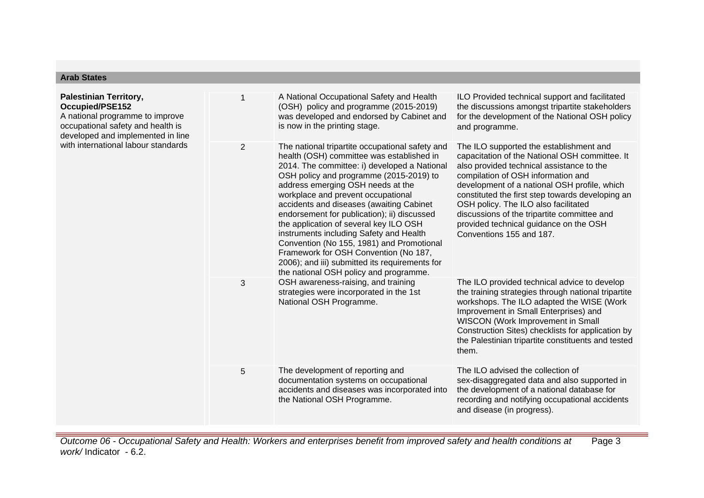| <b>Arab States</b>                                                                                                                                                                                   |                |                                                                                                                                                                                                                                                                                                                                                                                                                                                                                                                                                                                                                                      |                                                                                                                                                                                                                                                                                                                                                                                                                                               |
|------------------------------------------------------------------------------------------------------------------------------------------------------------------------------------------------------|----------------|--------------------------------------------------------------------------------------------------------------------------------------------------------------------------------------------------------------------------------------------------------------------------------------------------------------------------------------------------------------------------------------------------------------------------------------------------------------------------------------------------------------------------------------------------------------------------------------------------------------------------------------|-----------------------------------------------------------------------------------------------------------------------------------------------------------------------------------------------------------------------------------------------------------------------------------------------------------------------------------------------------------------------------------------------------------------------------------------------|
| <b>Palestinian Territory,</b><br>Occupied/PSE152<br>A national programme to improve<br>occupational safety and health is<br>developed and implemented in line<br>with international labour standards | 1              | A National Occupational Safety and Health<br>(OSH) policy and programme (2015-2019)<br>was developed and endorsed by Cabinet and<br>is now in the printing stage.                                                                                                                                                                                                                                                                                                                                                                                                                                                                    | ILO Provided technical support and facilitated<br>the discussions amongst tripartite stakeholders<br>for the development of the National OSH policy<br>and programme.                                                                                                                                                                                                                                                                         |
|                                                                                                                                                                                                      | $\overline{2}$ | The national tripartite occupational safety and<br>health (OSH) committee was established in<br>2014. The committee: i) developed a National<br>OSH policy and programme (2015-2019) to<br>address emerging OSH needs at the<br>workplace and prevent occupational<br>accidents and diseases (awaiting Cabinet<br>endorsement for publication); ii) discussed<br>the application of several key ILO OSH<br>instruments including Safety and Health<br>Convention (No 155, 1981) and Promotional<br>Framework for OSH Convention (No 187,<br>2006); and iii) submitted its requirements for<br>the national OSH policy and programme. | The ILO supported the establishment and<br>capacitation of the National OSH committee. It<br>also provided technical assistance to the<br>compilation of OSH information and<br>development of a national OSH profile, which<br>constituted the first step towards developing an<br>OSH policy. The ILO also facilitated<br>discussions of the tripartite committee and<br>provided technical guidance on the OSH<br>Conventions 155 and 187. |
|                                                                                                                                                                                                      | 3              | OSH awareness-raising, and training<br>strategies were incorporated in the 1st<br>National OSH Programme.                                                                                                                                                                                                                                                                                                                                                                                                                                                                                                                            | The ILO provided technical advice to develop<br>the training strategies through national tripartite<br>workshops. The ILO adapted the WISE (Work<br>Improvement in Small Enterprises) and<br>WISCON (Work Improvement in Small<br>Construction Sites) checklists for application by<br>the Palestinian tripartite constituents and tested<br>them.                                                                                            |
|                                                                                                                                                                                                      | 5              | The development of reporting and<br>documentation systems on occupational<br>accidents and diseases was incorporated into<br>the National OSH Programme.                                                                                                                                                                                                                                                                                                                                                                                                                                                                             | The ILO advised the collection of<br>sex-disaggregated data and also supported in<br>the development of a national database for<br>recording and notifying occupational accidents<br>and disease (in progress).                                                                                                                                                                                                                               |
|                                                                                                                                                                                                      |                |                                                                                                                                                                                                                                                                                                                                                                                                                                                                                                                                                                                                                                      |                                                                                                                                                                                                                                                                                                                                                                                                                                               |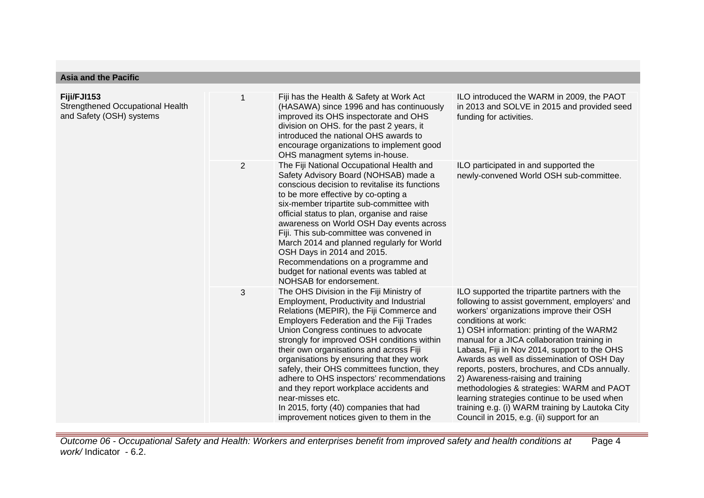| <b>Asia and the Pacific</b>                                                 |                |                                                                                                                                                                                                                                                                                                                                                                                                                                                                                                                                                                                                                   |                                                                                                                                                                                                                                                                                                                                                                                                                                                                                                                                                                                                                                                   |
|-----------------------------------------------------------------------------|----------------|-------------------------------------------------------------------------------------------------------------------------------------------------------------------------------------------------------------------------------------------------------------------------------------------------------------------------------------------------------------------------------------------------------------------------------------------------------------------------------------------------------------------------------------------------------------------------------------------------------------------|---------------------------------------------------------------------------------------------------------------------------------------------------------------------------------------------------------------------------------------------------------------------------------------------------------------------------------------------------------------------------------------------------------------------------------------------------------------------------------------------------------------------------------------------------------------------------------------------------------------------------------------------------|
| Fiji/FJI153<br>Strengthened Occupational Health<br>and Safety (OSH) systems | 1              | Fiji has the Health & Safety at Work Act<br>(HASAWA) since 1996 and has continuously<br>improved its OHS inspectorate and OHS<br>division on OHS. for the past 2 years, it<br>introduced the national OHS awards to<br>encourage organizations to implement good<br>OHS managment sytems in-house.                                                                                                                                                                                                                                                                                                                | ILO introduced the WARM in 2009, the PAOT<br>in 2013 and SOLVE in 2015 and provided seed<br>funding for activities.                                                                                                                                                                                                                                                                                                                                                                                                                                                                                                                               |
|                                                                             | $\overline{2}$ | The Fiji National Occupational Health and<br>Safety Advisory Board (NOHSAB) made a<br>conscious decision to revitalise its functions<br>to be more effective by co-opting a<br>six-member tripartite sub-committee with<br>official status to plan, organise and raise<br>awareness on World OSH Day events across<br>Fiji. This sub-committee was convened in<br>March 2014 and planned regularly for World<br>OSH Days in 2014 and 2015.<br>Recommendations on a programme and<br>budget for national events was tabled at<br>NOHSAB for endorsement.                                                           | ILO participated in and supported the<br>newly-convened World OSH sub-committee.                                                                                                                                                                                                                                                                                                                                                                                                                                                                                                                                                                  |
|                                                                             | 3              | The OHS Division in the Fiji Ministry of<br>Employment, Productivity and Industrial<br>Relations (MEPIR), the Fiji Commerce and<br><b>Employers Federation and the Fiji Trades</b><br>Union Congress continues to advocate<br>strongly for improved OSH conditions within<br>their own organisations and across Fiji<br>organisations by ensuring that they work<br>safely, their OHS committees function, they<br>adhere to OHS inspectors' recommendations<br>and they report workplace accidents and<br>near-misses etc.<br>In 2015, forty (40) companies that had<br>improvement notices given to them in the | ILO supported the tripartite partners with the<br>following to assist government, employers' and<br>workers' organizations improve their OSH<br>conditions at work:<br>1) OSH information: printing of the WARM2<br>manual for a JICA collaboration training in<br>Labasa, Fiji in Nov 2014, support to the OHS<br>Awards as well as dissemination of OSH Day<br>reports, posters, brochures, and CDs annually.<br>2) Awareness-raising and training<br>methodologies & strategies: WARM and PAOT<br>learning strategies continue to be used when<br>training e.g. (i) WARM training by Lautoka City<br>Council in 2015, e.g. (ii) support for an |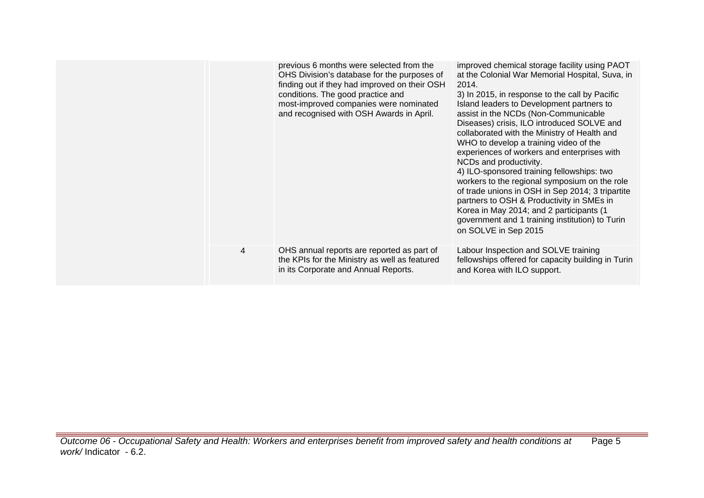|   | previous 6 months were selected from the<br>OHS Division's database for the purposes of<br>finding out if they had improved on their OSH<br>conditions. The good practice and<br>most-improved companies were nominated<br>and recognised with OSH Awards in April. | improved chemical storage facility using PAOT<br>at the Colonial War Memorial Hospital, Suva, in<br>2014.<br>3) In 2015, in response to the call by Pacific<br>Island leaders to Development partners to<br>assist in the NCDs (Non-Communicable<br>Diseases) crisis, ILO introduced SOLVE and<br>collaborated with the Ministry of Health and<br>WHO to develop a training video of the<br>experiences of workers and enterprises with<br>NCDs and productivity.<br>4) ILO-sponsored training fellowships: two<br>workers to the regional symposium on the role<br>of trade unions in OSH in Sep 2014; 3 tripartite<br>partners to OSH & Productivity in SMEs in<br>Korea in May 2014; and 2 participants (1<br>government and 1 training institution) to Turin<br>on SOLVE in Sep 2015 |
|---|---------------------------------------------------------------------------------------------------------------------------------------------------------------------------------------------------------------------------------------------------------------------|------------------------------------------------------------------------------------------------------------------------------------------------------------------------------------------------------------------------------------------------------------------------------------------------------------------------------------------------------------------------------------------------------------------------------------------------------------------------------------------------------------------------------------------------------------------------------------------------------------------------------------------------------------------------------------------------------------------------------------------------------------------------------------------|
| 4 | OHS annual reports are reported as part of<br>the KPIs for the Ministry as well as featured<br>in its Corporate and Annual Reports.                                                                                                                                 | Labour Inspection and SOLVE training<br>fellowships offered for capacity building in Turin<br>and Korea with ILO support.                                                                                                                                                                                                                                                                                                                                                                                                                                                                                                                                                                                                                                                                |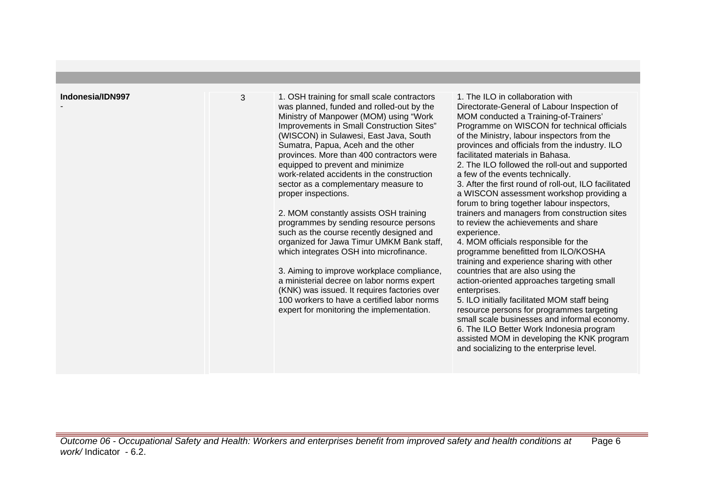| Indonesia/IDN997 | 3 | 1. OSH training for small scale contractors<br>was planned, funded and rolled-out by the<br>Ministry of Manpower (MOM) using "Work<br>Improvements in Small Construction Sites"<br>(WISCON) in Sulawesi, East Java, South<br>Sumatra, Papua, Aceh and the other<br>provinces. More than 400 contractors were<br>equipped to prevent and minimize<br>work-related accidents in the construction<br>sector as a complementary measure to<br>proper inspections.<br>2. MOM constantly assists OSH training<br>programmes by sending resource persons<br>such as the course recently designed and<br>organized for Jawa Timur UMKM Bank staff,<br>which integrates OSH into microfinance.<br>3. Aiming to improve workplace compliance,<br>a ministerial decree on labor norms expert<br>(KNK) was issued. It requires factories over<br>100 workers to have a certified labor norms<br>expert for monitoring the implementation. | 1. The ILO in collaboration with<br>Directorate-General of Labour Inspection of<br>MOM conducted a Training-of-Trainers'<br>Programme on WISCON for technical officials<br>of the Ministry, labour inspectors from the<br>provinces and officials from the industry. ILO<br>facilitated materials in Bahasa.<br>2. The ILO followed the roll-out and supported<br>a few of the events technically.<br>3. After the first round of roll-out, ILO facilitated<br>a WISCON assessment workshop providing a<br>forum to bring together labour inspectors,<br>trainers and managers from construction sites<br>to review the achievements and share<br>experience.<br>4. MOM officials responsible for the<br>programme benefitted from ILO/KOSHA<br>training and experience sharing with other<br>countries that are also using the<br>action-oriented approaches targeting small<br>enterprises.<br>5. ILO initially facilitated MOM staff being<br>resource persons for programmes targeting<br>small scale businesses and informal economy.<br>6. The ILO Better Work Indonesia program<br>assisted MOM in developing the KNK program<br>and socializing to the enterprise level. |
|------------------|---|-------------------------------------------------------------------------------------------------------------------------------------------------------------------------------------------------------------------------------------------------------------------------------------------------------------------------------------------------------------------------------------------------------------------------------------------------------------------------------------------------------------------------------------------------------------------------------------------------------------------------------------------------------------------------------------------------------------------------------------------------------------------------------------------------------------------------------------------------------------------------------------------------------------------------------|----------------------------------------------------------------------------------------------------------------------------------------------------------------------------------------------------------------------------------------------------------------------------------------------------------------------------------------------------------------------------------------------------------------------------------------------------------------------------------------------------------------------------------------------------------------------------------------------------------------------------------------------------------------------------------------------------------------------------------------------------------------------------------------------------------------------------------------------------------------------------------------------------------------------------------------------------------------------------------------------------------------------------------------------------------------------------------------------------------------------------------------------------------------------------------|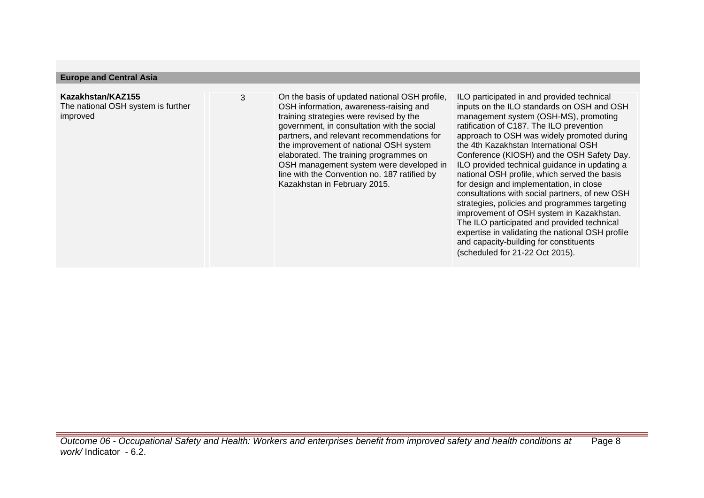#### **Europe and Central Asia**

## **Kazakhstan/KAZ155**

The national OSH system is further improved

3 On the basis of updated national OSH profile, OSH information, awareness-raising and training strategies were revised by the government, in consultation with the social partners, and relevant recommendations for the improvement of national OSH system elaborated. The training programmes on OSH management system were developed in line with the Convention no. 187 ratified by Kazakhstan in February 2015.

ILO participated in and provided technical inputs on the ILO standards on OSH and OSH management system (OSH-MS), promoting ratification of C187. The ILO prevention approach to OSH was widely promoted during the 4th Kazakhstan International OSH Conference (KIOSH) and the OSH Safety Day. ILO provided technical guidance in updating a national OSH profile, which served the basis for design and implementation, in close consultations with social partners, of new OSH strategies, policies and programmes targeting improvement of OSH system in Kazakhstan. The ILO participated and provided technical expertise in validating the national OSH profile and capacity-building for constituents (scheduled for 21-22 Oct 2015).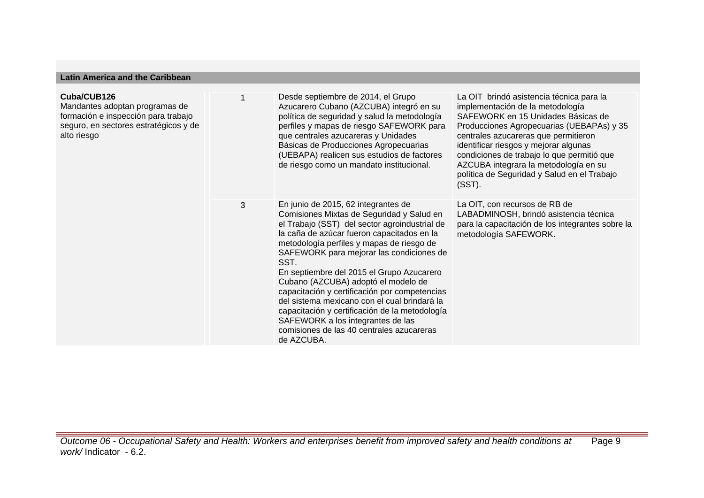| Cuba/CUB126<br>Mandantes adoptan programas de<br>formación e inspección para trabajo<br>seguro, en sectores estratégicos y de<br>alto riesgo |   | Desde septiembre de 2014, el Grupo<br>Azucarero Cubano (AZCUBA) integró en su<br>política de seguridad y salud la metodología<br>perfiles y mapas de riesgo SAFEWORK para<br>que centrales azucareras y Unidades<br>Básicas de Producciones Agropecuarias<br>(UEBAPA) realicen sus estudios de factores<br>de riesgo como un mandato institucional.                                                                                                                                                                                                                                                                     | La OIT brindó asistencia técnica para la<br>implementación de la metodología<br>SAFEWORK en 15 Unidades Básicas de<br>Producciones Agropecuarias (UEBAPAs) y 35<br>centrales azucareras que permitieron<br>identificar riesgos y mejorar algunas<br>condiciones de trabajo lo que permitió que<br>AZCUBA integrara la metodología en su<br>política de Seguridad y Salud en el Trabajo<br>$(SST)$ . |
|----------------------------------------------------------------------------------------------------------------------------------------------|---|-------------------------------------------------------------------------------------------------------------------------------------------------------------------------------------------------------------------------------------------------------------------------------------------------------------------------------------------------------------------------------------------------------------------------------------------------------------------------------------------------------------------------------------------------------------------------------------------------------------------------|-----------------------------------------------------------------------------------------------------------------------------------------------------------------------------------------------------------------------------------------------------------------------------------------------------------------------------------------------------------------------------------------------------|
|                                                                                                                                              | 3 | En junio de 2015, 62 integrantes de<br>Comisiones Mixtas de Seguridad y Salud en<br>el Trabajo (SST) del sector agroindustrial de<br>la caña de azúcar fueron capacitados en la<br>metodología perfiles y mapas de riesgo de<br>SAFEWORK para mejorar las condiciones de<br>SST.<br>En septiembre del 2015 el Grupo Azucarero<br>Cubano (AZCUBA) adoptó el modelo de<br>capacitación y certificación por competencias<br>del sistema mexicano con el cual brindará la<br>capacitación y certificación de la metodología<br>SAFEWORK a los integrantes de las<br>comisiones de las 40 centrales azucareras<br>de AZCUBA. | La OIT, con recursos de RB de<br>LABADMINOSH, brindó asistencia técnica<br>para la capacitación de los integrantes sobre la<br>metodología SAFEWORK.                                                                                                                                                                                                                                                |